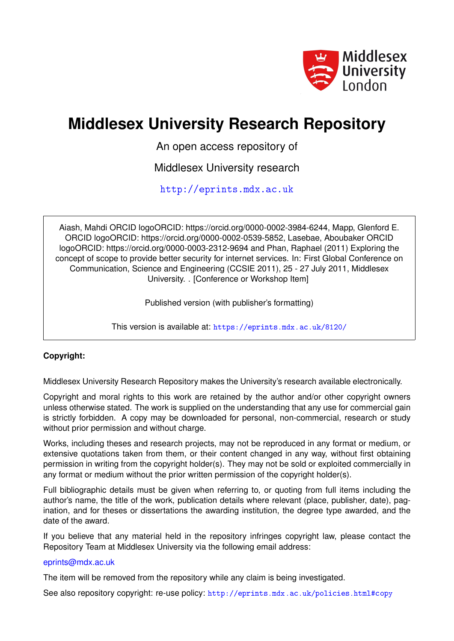

# **Middlesex University Research Repository**

An open access repository of

Middlesex University research

<http://eprints.mdx.ac.uk>

Aiash, Mahdi ORCID logoORCID: https://orcid.org/0000-0002-3984-6244, Mapp, Glenford E. ORCID logoORCID: https://orcid.org/0000-0002-0539-5852, Lasebae, Aboubaker ORCID logoORCID: https://orcid.org/0000-0003-2312-9694 and Phan, Raphael (2011) Exploring the concept of scope to provide better security for internet services. In: First Global Conference on Communication, Science and Engineering (CCSIE 2011), 25 - 27 July 2011, Middlesex University. . [Conference or Workshop Item]

Published version (with publisher's formatting)

This version is available at: <https://eprints.mdx.ac.uk/8120/>

# **Copyright:**

Middlesex University Research Repository makes the University's research available electronically.

Copyright and moral rights to this work are retained by the author and/or other copyright owners unless otherwise stated. The work is supplied on the understanding that any use for commercial gain is strictly forbidden. A copy may be downloaded for personal, non-commercial, research or study without prior permission and without charge.

Works, including theses and research projects, may not be reproduced in any format or medium, or extensive quotations taken from them, or their content changed in any way, without first obtaining permission in writing from the copyright holder(s). They may not be sold or exploited commercially in any format or medium without the prior written permission of the copyright holder(s).

Full bibliographic details must be given when referring to, or quoting from full items including the author's name, the title of the work, publication details where relevant (place, publisher, date), pagination, and for theses or dissertations the awarding institution, the degree type awarded, and the date of the award.

If you believe that any material held in the repository infringes copyright law, please contact the Repository Team at Middlesex University via the following email address:

## [eprints@mdx.ac.uk](mailto:eprints@mdx.ac.uk)

The item will be removed from the repository while any claim is being investigated.

See also repository copyright: re-use policy: <http://eprints.mdx.ac.uk/policies.html#copy>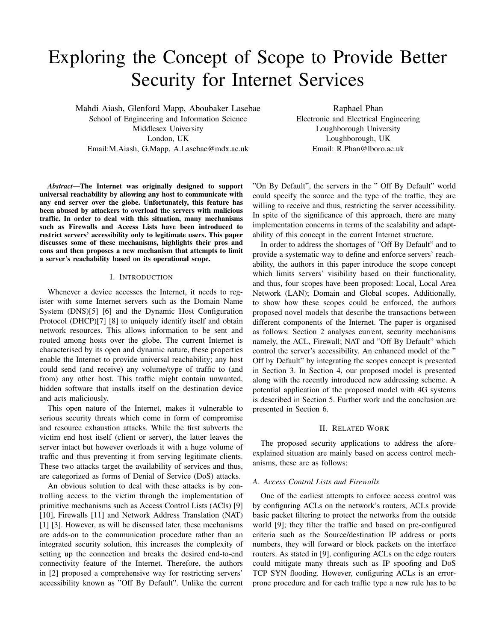# Exploring the Concept of Scope to Provide Better Security for Internet Services

Mahdi Aiash, Glenford Mapp, Aboubaker Lasebae School of Engineering and Information Science Middlesex University London, UK Email:M.Aiash, G.Mapp, A.Lasebae@mdx.ac.uk

Raphael Phan Electronic and Electrical Engineering Loughborough University Loughborough, UK Email: R.Phan@lboro.ac.uk

*Abstract*—The Internet was originally designed to support universal reachability by allowing any host to communicate with any end server over the globe. Unfortunately, this feature has been abused by attackers to overload the servers with malicious traffic. In order to deal with this situation, many mechanisms such as Firewalls and Access Lists have been introduced to restrict servers' accessibility only to legitimate users. This paper discusses some of these mechanisms, highlights their pros and cons and then proposes a new mechanism that attempts to limit a server's reachability based on its operational scope.

#### I. INTRODUCTION

Whenever a device accesses the Internet, it needs to register with some Internet servers such as the Domain Name System (DNS)[5] [6] and the Dynamic Host Configuration Protocol (DHCP)[7] [8] to uniquely identify itself and obtain network resources. This allows information to be sent and routed among hosts over the globe. The current Internet is characterised by its open and dynamic nature, these properties enable the Internet to provide universal reachability; any host could send (and receive) any volume/type of traffic to (and from) any other host. This traffic might contain unwanted, hidden software that installs itself on the destination device and acts maliciously.

This open nature of the Internet, makes it vulnerable to serious security threats which come in form of compromise and resource exhaustion attacks. While the first subverts the victim end host itself (client or server), the latter leaves the server intact but however overloads it with a huge volume of traffic and thus preventing it from serving legitimate clients. These two attacks target the availability of services and thus, are categorized as forms of Denial of Service (DoS) attacks.

An obvious solution to deal with these attacks is by controlling access to the victim through the implementation of primitive mechanisms such as Access Control Lists (ACls) [9] [10], Firewalls [11] and Network Address Translation (NAT) [1] [3]. However, as will be discussed later, these mechanisms are adds-on to the communication procedure rather than an integrated security solution, this increases the complexity of setting up the connection and breaks the desired end-to-end connectivity feature of the Internet. Therefore, the authors in [2] proposed a comprehensive way for restricting servers' accessibility known as "Off By Default". Unlike the current

"On By Default", the servers in the " Off By Default" world could specify the source and the type of the traffic, they are willing to receive and thus, restricting the server accessibility. In spite of the significance of this approach, there are many implementation concerns in terms of the scalability and adaptability of this concept in the current Internet structure.

In order to address the shortages of "Off By Default" and to provide a systematic way to define and enforce servers' reachability, the authors in this paper introduce the scope concept which limits servers' visibility based on their functionality, and thus, four scopes have been proposed: Local, Local Area Network (LAN); Domain and Global scopes. Additionally, to show how these scopes could be enforced, the authors proposed novel models that describe the transactions between different components of the Internet. The paper is organised as follows: Section 2 analyses current, security mechanisms namely, the ACL, Firewall; NAT and "Off By Default" which control the server's accessibility. An enhanced model of the " Off by Default" by integrating the scopes concept is presented in Section 3. In Section 4, our proposed model is presented along with the recently introduced new addressing scheme. A potential application of the proposed model with 4G systems is described in Section 5. Further work and the conclusion are presented in Section 6.

#### II. RELATED WORK

The proposed security applications to address the aforeexplained situation are mainly based on access control mechanisms, these are as follows:

#### *A. Access Control Lists and Firewalls*

One of the earliest attempts to enforce access control was by configuring ACLs on the network's routers, ACLs provide basic packet filtering to protect the networks from the outside world [9]; they filter the traffic and based on pre-configured criteria such as the Source/destination IP address or ports numbers, they will forward or block packets on the interface routers. As stated in [9], configuring ACLs on the edge routers could mitigate many threats such as IP spoofing and DoS TCP SYN flooding. However, configuring ACLs is an errorprone procedure and for each traffic type a new rule has to be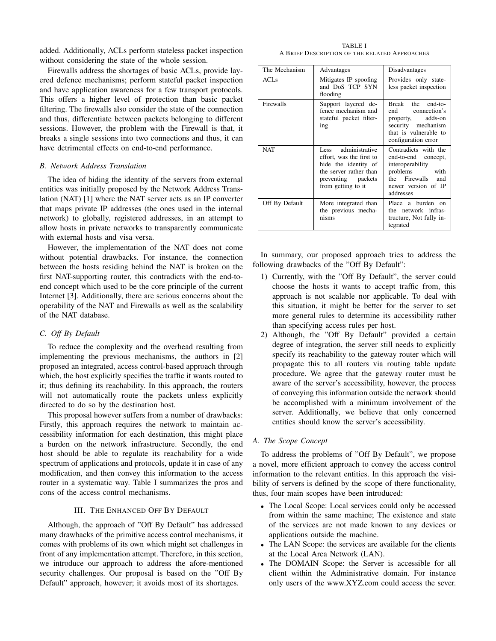added. Additionally, ACLs perform stateless packet inspection without considering the state of the whole session.

Firewalls address the shortages of basic ACLs, provide layered defence mechanisms; perform stateful packet inspection and have application awareness for a few transport protocols. This offers a higher level of protection than basic packet filtering. The firewalls also consider the state of the connection and thus, differentiate between packets belonging to different sessions. However, the problem with the Firewall is that, it breaks a single sessions into two connections and thus, it can have detrimental effects on end-to-end performance.

#### *B. Network Address Translation*

The idea of hiding the identity of the servers from external entities was initially proposed by the Network Address Translation (NAT) [1] where the NAT server acts as an IP converter that maps private IP addresses (the ones used in the internal network) to globally, registered addresses, in an attempt to allow hosts in private networks to transparently communicate with external hosts and visa versa.

However, the implementation of the NAT does not come without potential drawbacks. For instance, the connection between the hosts residing behind the NAT is broken on the first NAT-supporting router, this contradicts with the end-toend concept which used to be the core principle of the current Internet [3]. Additionally, there are serious concerns about the operability of the NAT and Firewalls as well as the scalability of the NAT database.

### *C. Off By Default*

To reduce the complexity and the overhead resulting from implementing the previous mechanisms, the authors in [2] proposed an integrated, access control-based approach through which, the host explicitly specifies the traffic it wants routed to it; thus defining its reachability. In this approach, the routers will not automatically route the packets unless explicitly directed to do so by the destination host.

This proposal however suffers from a number of drawbacks: Firstly, this approach requires the network to maintain accessibility information for each destination, this might place a burden on the network infrastructure. Secondly, the end host should be able to regulate its reachability for a wide spectrum of applications and protocols, update it in case of any modification, and then convey this information to the access router in a systematic way. Table I summarizes the pros and cons of the access control mechanisms.

#### III. THE ENHANCED OFF BY DEFAULT

Although, the approach of "Off By Default" has addressed many drawbacks of the primitive access control mechanisms, it comes with problems of its own which might set challenges in front of any implementation attempt. Therefore, in this section, we introduce our approach to address the afore-mentioned security challenges. Our proposal is based on the "Off By Default" approach, however; it avoids most of its shortages.

TABLE I A BRIEF DESCRIPTION OF THE RELATED APPROACHES

| The Mechanism    | Advantages                                                                                                                                    | Disadvantages                                                                                                                             |
|------------------|-----------------------------------------------------------------------------------------------------------------------------------------------|-------------------------------------------------------------------------------------------------------------------------------------------|
| ACLs             | Mitigates IP spoofing<br>and DoS TCP SYN<br>flooding                                                                                          | Provides only state-<br>less packet inspection                                                                                            |
| <b>Firewalls</b> | Support layered de-<br>fence mechanism and<br>stateful packet filter-<br>ing                                                                  | Break the end-to-<br>end connection's<br>property, adds-on<br>security mechanism<br>that is vulnerable to<br>configuration error          |
| <b>NAT</b>       | Less administrative<br>effort, was the first to<br>hide the identity of<br>the server rather than<br>preventing packets<br>from getting to it | Contradicts with the<br>end-to-end concept,<br>interoperability<br>problems with<br>the Firewalls and<br>newer version of IP<br>addresses |
| Off By Default   | More integrated than<br>the previous mecha-<br>nisms                                                                                          | Place a burden on<br>the network infras-<br>tructure, Not fully in-<br>tegrated                                                           |

In summary, our proposed approach tries to address the following drawbacks of the "Off By Default":

- 1) Currently, with the "Off By Default", the server could choose the hosts it wants to accept traffic from, this approach is not scalable nor applicable. To deal with this situation, it might be better for the server to set more general rules to determine its accessibility rather than specifying access rules per host.
- 2) Although, the "Off By Default" provided a certain degree of integration, the server still needs to explicitly specify its reachability to the gateway router which will propagate this to all routers via routing table update procedure. We agree that the gateway router must be aware of the server's accessibility, however, the process of conveying this information outside the network should be accomplished with a minimum involvement of the server. Additionally, we believe that only concerned entities should know the server's accessibility.

#### *A. The Scope Concept*

To address the problems of "Off By Default", we propose a novel, more efficient approach to convey the access control information to the relevant entities. In this approach the visibility of servers is defined by the scope of there functionality, thus, four main scopes have been introduced:

- The Local Scope: Local services could only be accessed from within the same machine; The existence and state of the services are not made known to any devices or applications outside the machine.
- The LAN Scope: the services are available for the clients at the Local Area Network (LAN).
- The DOMAIN Scope: the Server is accessible for all client within the Administrative domain. For instance only users of the www.XYZ.com could access the sever.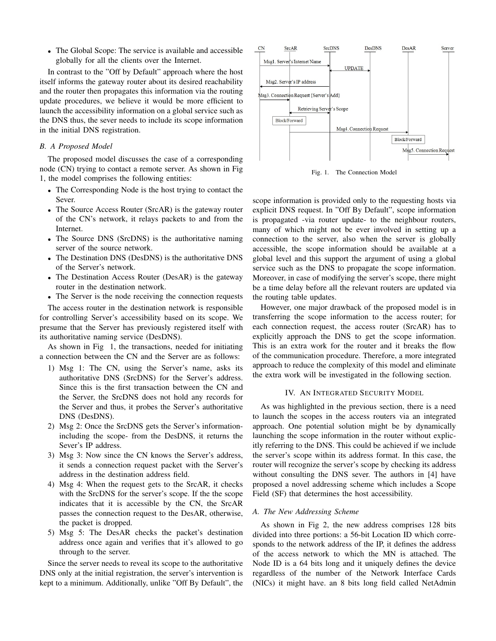• The Global Scope: The service is available and accessible globally for all the clients over the Internet.

In contrast to the "Off by Default" approach where the host itself informs the gateway router about its desired reachability and the router then propagates this information via the routing update procedures, we believe it would be more efficient to launch the accessibility information on a global service such as the DNS thus, the sever needs to include its scope information in the initial DNS registration.

#### *B. A Proposed Model*

The proposed model discusses the case of a corresponding node (CN) trying to contact a remote server. As shown in Fig 1, the model comprises the following entities:

- The Corresponding Node is the host trying to contact the Sever.
- The Source Access Router (SrcAR) is the gateway router of the CN's network, it relays packets to and from the Internet.
- The Source DNS (SrcDNS) is the authoritative naming server of the source network.
- The Destination DNS (DesDNS) is the authoritative DNS of the Server's network.
- The Destination Access Router (DesAR) is the gateway router in the destination network.
- The Server is the node receiving the connection requests

The access router in the destination network is responsible for controlling Server's accessibility based on its scope. We presume that the Server has previously registered itself with its authoritative naming service (DesDNS).

As shown in Fig 1, the transactions, needed for initiating a connection between the CN and the Server are as follows:

- 1) Msg 1: The CN, using the Server's name, asks its authoritative DNS (SrcDNS) for the Server's address. Since this is the first transaction between the CN and the Server, the SrcDNS does not hold any records for the Server and thus, it probes the Server's authoritative DNS (DesDNS).
- 2) Msg 2: Once the SrcDNS gets the Server's informationincluding the scope- from the DesDNS, it returns the Sever's IP address.
- 3) Msg 3: Now since the CN knows the Server's address, it sends a connection request packet with the Server's address in the destination address field.
- 4) Msg 4: When the request gets to the SrcAR, it checks with the SrcDNS for the server's scope. If the the scope indicates that it is accessible by the CN, the SrcAR passes the connection request to the DesAR, otherwise, the packet is dropped.
- 5) Msg 5: The DesAR checks the packet's destination address once again and verifies that it's allowed to go through to the server.

Since the server needs to reveal its scope to the authoritative DNS only at the initial registration, the server's intervention is kept to a minimum. Additionally, unlike "Off By Default", the



Fig. 1. The Connection Model

scope information is provided only to the requesting hosts via explicit DNS request. In "Off By Default", scope information is propagated -via router update- to the neighbour routers, many of which might not be ever involved in setting up a connection to the server, also when the server is globally accessible, the scope information should be available at a global level and this support the argument of using a global service such as the DNS to propagate the scope information. Moreover, in case of modifying the server's scope, there might be a time delay before all the relevant routers are updated via the routing table updates.

However, one major drawback of the proposed model is in transferring the scope information to the access router; for each connection request, the access router (SrcAR) has to explicitly approach the DNS to get the scope information. This is an extra work for the router and it breaks the flow of the communication procedure. Therefore, a more integrated approach to reduce the complexity of this model and eliminate the extra work will be investigated in the following section.

#### IV. AN INTEGRATED SECURITY MODEL

As was highlighted in the previous section, there is a need to launch the scopes in the access routers via an integrated approach. One potential solution might be by dynamically launching the scope information in the router without explicitly referring to the DNS. This could be achieved if we include the server's scope within its address format. In this case, the router will recognize the server's scope by checking its address without consulting the DNS sever. The authors in [4] have proposed a novel addressing scheme which includes a Scope Field (SF) that determines the host accessibility.

#### *A. The New Addressing Scheme*

As shown in Fig 2, the new address comprises 128 bits divided into three portions: a 56-bit Location ID which corresponds to the network address of the IP, it defines the address of the access network to which the MN is attached. The Node ID is a 64 bits long and it uniquely defines the device regardless of the number of the Network Interface Cards (NICs) it might have. an 8 bits long field called NetAdmin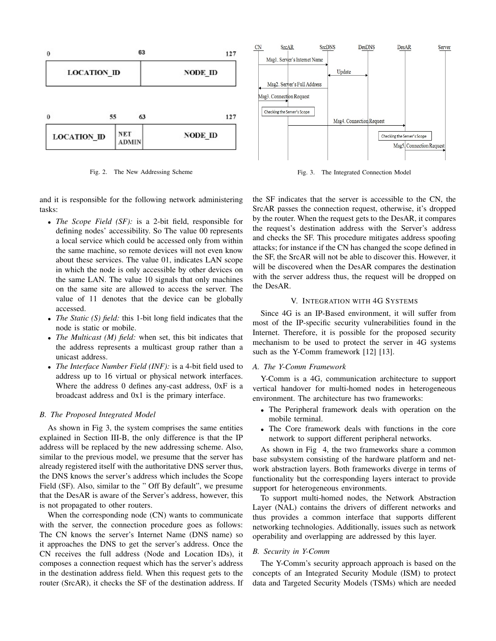



Msg2. Server's Full Address Msg3. Connection Request Checking the Server's Scope Msg4. Connection Request Checking the Server's Scope Msg5. Connection Request

Update

**DesDNS** 

DesAR

Server

Fig. 3. The Integrated Connection Model

and it is responsible for the following network administering tasks:

- *The Scope Field (SF):* is a 2-bit field, responsible for defining nodes' accessibility. So The value 00 represents a local service which could be accessed only from within the same machine, so remote devices will not even know about these services. The value 01, indicates LAN scope in which the node is only accessible by other devices on the same LAN. The value 10 signals that only machines on the same site are allowed to access the server. The value of 11 denotes that the device can be globally accessed.
- *The Static (S) field:* this 1-bit long field indicates that the node is static or mobile.
- *The Multicast (M) field:* when set, this bit indicates that the address represents a multicast group rather than a unicast address.
- *The Interface Number Field (INF):* is a 4-bit field used to address up to 16 virtual or physical network interfaces. Where the address 0 defines any-cast address, 0xF is a broadcast address and 0x1 is the primary interface.

### *B. The Proposed Integrated Model*

As shown in Fig 3, the system comprises the same entities explained in Section III-B, the only difference is that the IP address will be replaced by the new addressing scheme. Also, similar to the previous model, we presume that the server has already registered itself with the authoritative DNS server thus, the DNS knows the server's address which includes the Scope Field (SF). Also, similar to the " Off By default", we presume that the DesAR is aware of the Server's address, however, this is not propagated to other routers.

When the corresponding node (CN) wants to communicate with the server, the connection procedure goes as follows: The CN knows the server's Internet Name (DNS name) so it approaches the DNS to get the server's address. Once the CN receives the full address (Node and Location IDs), it composes a connection request which has the server's address in the destination address field. When this request gets to the router (SrcAR), it checks the SF of the destination address. If

the SF indicates that the server is accessible to the CN, the SrcAR passes the connection request, otherwise, it's dropped by the router. When the request gets to the DesAR, it compares the request's destination address with the Server's address and checks the SF. This procedure mitigates address spoofing attacks; for instance if the CN has changed the scope defined in the SF, the SrcAR will not be able to discover this. However, it will be discovered when the DesAR compares the destination with the server address thus, the request will be dropped on the DesAR.

#### V. INTEGRATION WITH 4G SYSTEMS

Since 4G is an IP-Based environment, it will suffer from most of the IP-specific security vulnerabilities found in the Internet. Therefore, it is possible for the proposed security mechanism to be used to protect the server in 4G systems such as the Y-Comm framework [12] [13].

#### *A. The Y-Comm Framework*

 $CN$ 

**SrcAR** 

Msg1. Server's Internet Name

**SrcDNS** 

Y-Comm is a 4G, communication architecture to support vertical handover for multi-homed nodes in heterogeneous environment. The architecture has two frameworks:

- The Peripheral framework deals with operation on the mobile terminal.
- The Core framework deals with functions in the core network to support different peripheral networks.

As shown in Fig 4, the two frameworks share a common base subsystem consisting of the hardware platform and network abstraction layers. Both frameworks diverge in terms of functionality but the corresponding layers interact to provide support for heterogeneous environments.

To support multi-homed nodes, the Network Abstraction Layer (NAL) contains the drivers of different networks and thus provides a common interface that supports different networking technologies. Additionally, issues such as network operability and overlapping are addressed by this layer.

#### *B. Security in Y-Comm*

The Y-Comm's security approach approach is based on the concepts of an Integrated Security Module (ISM) to protect data and Targeted Security Models (TSMs) which are needed